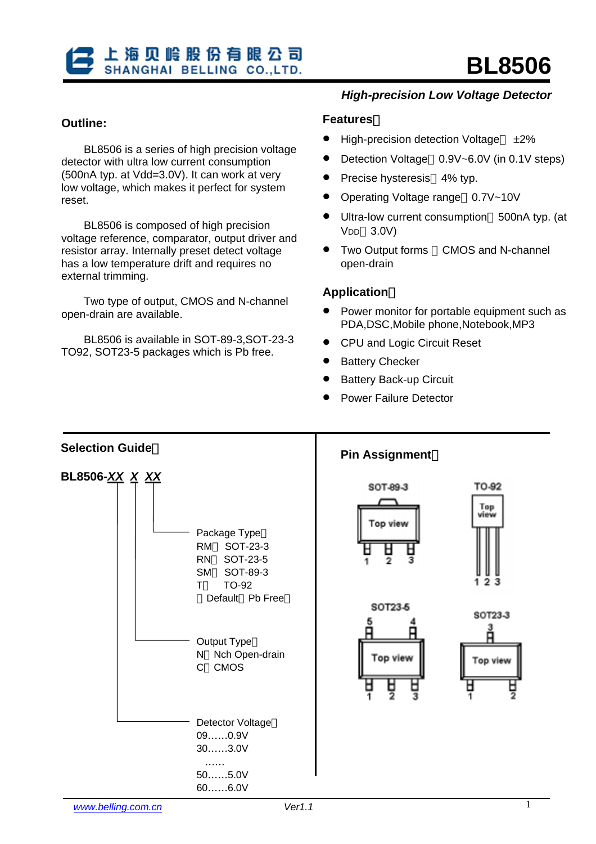## **Outline:**

BL8506 is a series of high precision voltage detector with ultra low current consumption (500nA typ. at Vdd=3.0V). It can work at very low voltage, which makes it perfect for system reset.

BL8506 is composed of high precision voltage reference, comparator, output driver and resistor array. Internally preset detect voltage has a low temperature drift and requires no external trimming.

Two type of output, CMOS and N-channel open-drain are available.

BL8506 is available in SOT-89-3,SOT-23-3 TO92, SOT23-5 packages which is Pb free.

## *High-precision Low Voltage Detector*

#### **Features**:

- High-precision detection Voltage  $\pm 2\%$
- Detection Voltage 0.9V~6.0V (in 0.1V steps)
- Precise hysteresis 4% typ.
- Operating Voltage range 0.7V~10V
- Ultra-low current consumption 500nA typ. (at VDD 3.0V)
- Two Output forms CMOS and N-channel open-drain

#### **Application**:

- Power monitor for portable equipment such as PDA,DSC,Mobile phone,Notebook,MP3
- CPU and Logic Circuit Reset
- **Battery Checker**
- **Battery Back-up Circuit**
- Power Failure Detector

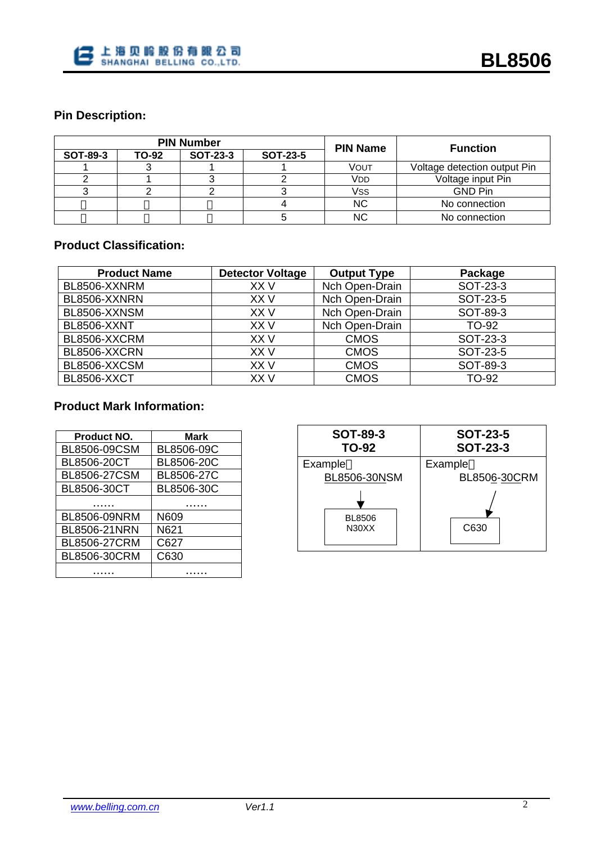

# **Pin Description:**

|          |       | <b>PIN Number</b> |                 | <b>PIN Name</b> | <b>Function</b>              |
|----------|-------|-------------------|-----------------|-----------------|------------------------------|
| SOT-89-3 | TO-92 | <b>SOT-23-3</b>   | <b>SOT-23-5</b> |                 |                              |
|          |       |                   |                 | VOUT            | Voltage detection output Pin |
|          |       |                   |                 | V <sub>DD</sub> | Voltage input Pin            |
|          |       |                   |                 | Vss             | <b>GND Pin</b>               |
|          |       |                   |                 | NC              | No connection                |
|          |       |                   |                 | NC              | No connection                |

## **Product Classification:**

| <b>Product Name</b> | <b>Detector Voltage</b> | <b>Output Type</b> | Package      |
|---------------------|-------------------------|--------------------|--------------|
| BL8506-XXNRM        | XX V                    | Nch Open-Drain     | SOT-23-3     |
| BL8506-XXNRN        | XX V                    | Nch Open-Drain     | SOT-23-5     |
| BL8506-XXNSM        | XX V                    | Nch Open-Drain     | SOT-89-3     |
| <b>BL8506-XXNT</b>  | XX V                    | Nch Open-Drain     | <b>TO-92</b> |
| BL8506-XXCRM        | XX V                    | <b>CMOS</b>        | SOT-23-3     |
| BL8506-XXCRN        | XX V                    | <b>CMOS</b>        | SOT-23-5     |
| BL8506-XXCSM        | XX V                    | <b>CMOS</b>        | SOT-89-3     |
| <b>BL8506-XXCT</b>  | XX V                    | <b>CMOS</b>        | <b>TO-92</b> |

# **Product Mark Information:**

| <b>Product NO.</b>  | Mark       |
|---------------------|------------|
| BL8506-09CSM        | BL8506-09C |
| BL8506-20CT         | BL8506-20C |
| <b>BL8506-27CSM</b> | BL8506-27C |
| BL8506-30CT         | BL8506-30C |
|                     |            |
| BL8506-09NRM        | N609       |
| <b>BL8506-21NRN</b> | N621       |
| <b>BL8506-27CRM</b> | C627       |
| BL8506-30CRM        | C630       |
|                     |            |

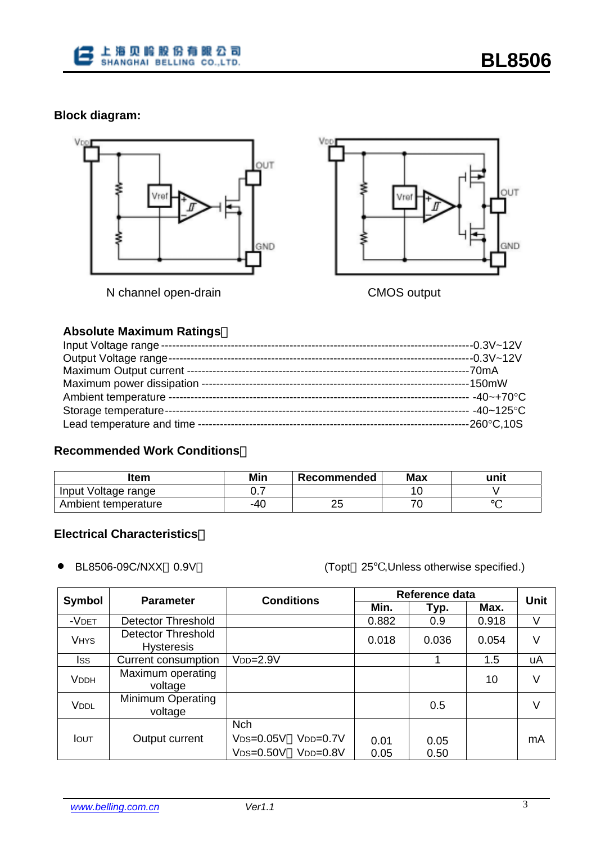

# **Block diagram:**



**Absolute Maximum Ratings**:

## **Recommended Work Conditions**:

| ltem                | Min  | Recommended | <b>Max</b> | unit |
|---------------------|------|-------------|------------|------|
| Input Voltage range | ັ. . |             |            |      |
| Ambient temperature | -40  |             |            |      |

# **Electrical Characteristics**:

• BL8506-09C/NXX 0.9V (Topt <sup>25</sup> ,Unless otherwise specified.)

| Symbol       | <b>Parameter</b>                        | <b>Conditions</b>                                                        | Reference data | Unit         |       |    |
|--------------|-----------------------------------------|--------------------------------------------------------------------------|----------------|--------------|-------|----|
|              |                                         |                                                                          | Min.           | Typ.         | Max.  |    |
| -VDET        | <b>Detector Threshold</b>               |                                                                          | 0.882          | 0.9          | 0.918 | V  |
| <b>VHYS</b>  | Detector Threshold<br><b>Hysteresis</b> |                                                                          | 0.018          | 0.036        | 0.054 | V  |
| Iss          | Current consumption                     | V <sub>DD=</sub> 2.9V                                                    |                |              | 1.5   | uA |
| <b>VDDH</b>  | Maximum operating<br>voltage            |                                                                          |                |              | 10    | V  |
| VDDL         | Minimum Operating<br>voltage            |                                                                          |                | 0.5          |       | V  |
| <b>I</b> OUT | Output current                          | <b>Nch</b><br>$VDS = 0.05V$<br>$VDD=0.7V$<br>$VDS = 0.50V$<br>$VDD=0.8V$ | 0.01<br>0.05   | 0.05<br>0.50 |       | mA |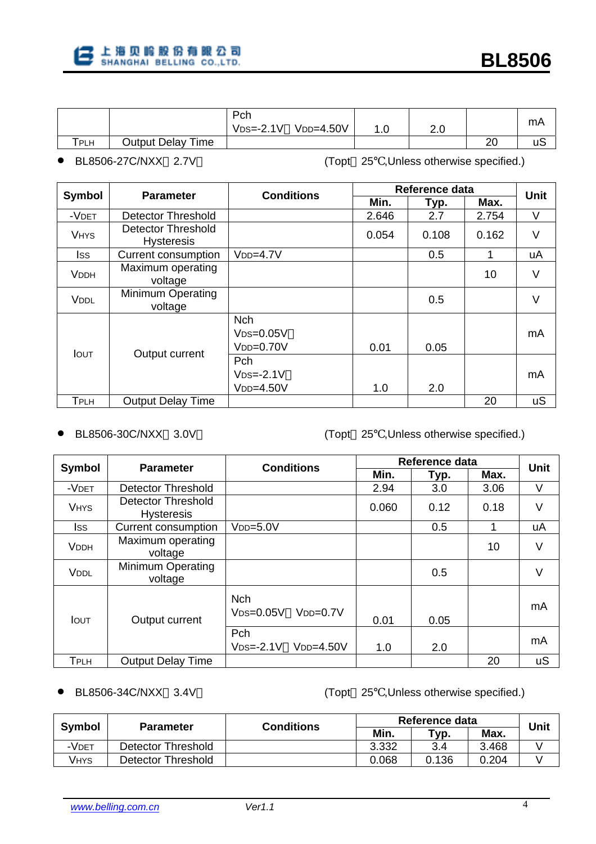

|                                |                          | Pch           |             |     |    |    |
|--------------------------------|--------------------------|---------------|-------------|-----|----|----|
|                                |                          | $VDS = -2.1V$ | $VDD=4.50V$ | z.u |    | mA |
| $\mathsf{\tau}_{\mathsf{PLH}}$ | <b>Output Delay Time</b> |               |             |     | 20 | uc |

• BL8506-27C/NXX 2.7V (Topt <sup>25</sup> ,Unless otherwise specified.)

|               | <b>Parameter</b>                        | <b>Conditions</b>                          | Reference data | <b>Unit</b> |       |    |
|---------------|-----------------------------------------|--------------------------------------------|----------------|-------------|-------|----|
| <b>Symbol</b> |                                         |                                            | Min.           | Typ.        | Max.  |    |
| -VDET         | <b>Detector Threshold</b>               |                                            | 2.646          | 2.7         | 2.754 | V  |
| <b>VHYS</b>   | Detector Threshold<br><b>Hysteresis</b> |                                            | 0.054          | 0.108       | 0.162 | V  |
| Iss           | Current consumption                     | $VDD=4.7V$                                 |                | 0.5         |       | uA |
| <b>VDDH</b>   | Maximum operating<br>voltage            |                                            |                |             | 10    | V  |
| VDDL          | <b>Minimum Operating</b><br>voltage     |                                            |                | 0.5         |       | V  |
| <b>IOUT</b>   | Output current                          | <b>Nch</b><br>$VDS=0.05V$<br>$VDD=0.70V$   | 0.01           | 0.05        |       | mA |
|               |                                         | <b>Pch</b><br>$VDS = -2.1V$<br>$VDD=4.50V$ | 1.0            | 2.0         |       | mA |
| TPLH          | <b>Output Delay Time</b>                |                                            |                |             | 20    | uS |

• BL8506-30C/NXX 3.0V (Topt <sup>25</sup> ,Unless otherwise specified.)

| <b>Symbol</b> | <b>Parameter</b>                               | <b>Conditions</b>                       | Reference data | <b>Unit</b> |      |        |
|---------------|------------------------------------------------|-----------------------------------------|----------------|-------------|------|--------|
|               |                                                |                                         | Min.           | Typ.        | Max. |        |
| -VDET         | Detector Threshold                             |                                         | 2.94           | 3.0         | 3.06 | V      |
| <b>VHYS</b>   | <b>Detector Threshold</b><br><b>Hysteresis</b> |                                         | 0.060          | 0.12        | 0.18 | V      |
| lss.          | Current consumption                            | $VDD=5.0V$                              |                | 0.5         | 1    | uA     |
| <b>VDDH</b>   | Maximum operating<br>voltage                   |                                         |                |             | 10   | $\vee$ |
| <b>VDDL</b>   | <b>Minimum Operating</b><br>voltage            |                                         |                | 0.5         |      | V      |
| <b>IOUT</b>   | Output current                                 | <b>Nch</b><br>$VDD=0.7V$<br>$VDS=0.05V$ | 0.01           | 0.05        |      | mA     |
|               |                                                | Pch<br>$VDS = -2.1V$<br>$VDD=4.50V$     | 1.0            | 2.0         |      | mA     |
| <b>TPLH</b>   | <b>Output Delay Time</b>                       |                                         |                |             | 20   | uS     |

• BL8506-34C/NXX 3.4V (Topt <sup>25</sup> ,Unless otherwise specified.)

|             | <b>Parameter</b>   | <b>Conditions</b> | Reference data | Unit                  |       |  |
|-------------|--------------------|-------------------|----------------|-----------------------|-------|--|
| Symbol      |                    |                   | Min.           | $\tau_{\mathsf{yp}.}$ | Max.  |  |
| -Vdet       | Detector Threshold |                   | 3.332          | 3.4                   | 3.468 |  |
| <b>VHYS</b> | Detector Threshold |                   | 0.068          | 0.136                 | 0.204 |  |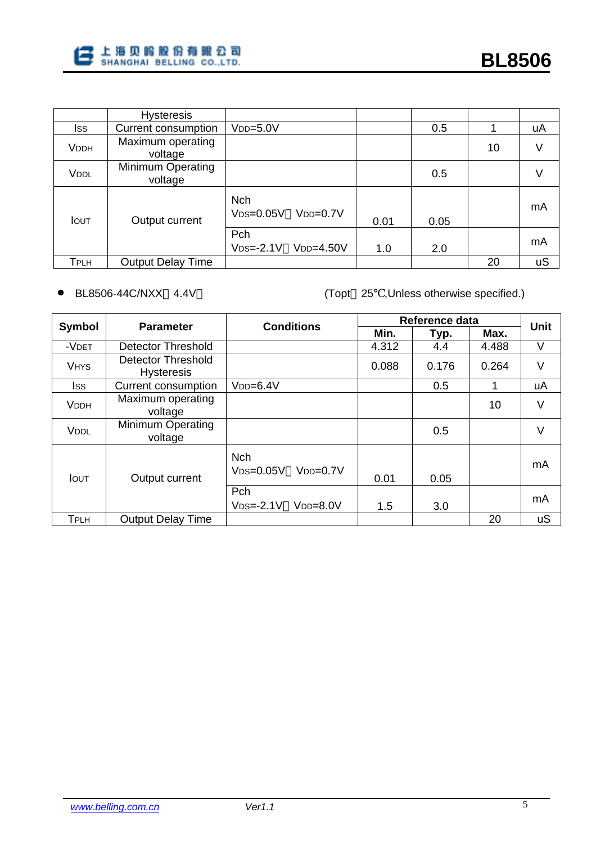|              | <b>Hysteresis</b>                   |                                           |      |      |    |           |
|--------------|-------------------------------------|-------------------------------------------|------|------|----|-----------|
| Iss          | Current consumption                 | $VDD=5.0V$                                |      | 0.5  |    | uA        |
| <b>VDDH</b>  | Maximum operating<br>voltage        |                                           |      |      | 10 | $\vee$    |
| VDDL         | <b>Minimum Operating</b><br>voltage |                                           |      | 0.5  |    | V         |
| <b>I</b> OUT | Output current                      | <b>Nch</b><br>$VDS = 0.05V$<br>$VDD=0.7V$ | 0.01 | 0.05 |    | mA        |
|              |                                     | Pch<br>$VDD=4.50V$<br>$VDS = -2.1V$       | 1.0  | 2.0  |    | mA        |
| Tplh         | <b>Output Delay Time</b>            |                                           |      |      | 20 | <b>uS</b> |

• BL8506-44C/NXX 4.4V (Topt <sup>25</sup> ,Unless otherwise specified.)

| Symbol       | <b>Parameter</b>                               | <b>Conditions</b>                       | Reference data | Unit  |       |           |
|--------------|------------------------------------------------|-----------------------------------------|----------------|-------|-------|-----------|
|              |                                                |                                         | Min.           | Typ.  | Max.  |           |
| -VDET        | Detector Threshold                             |                                         | 4.312          | 4.4   | 4.488 | V         |
| <b>VHYS</b>  | <b>Detector Threshold</b><br><b>Hysteresis</b> |                                         | 0.088          | 0.176 | 0.264 | V         |
| Iss          | Current consumption                            | $VDD=6.4V$                              |                | 0.5   |       | uA        |
| <b>VDDH</b>  | Maximum operating<br>voltage                   |                                         |                |       | 10    | V         |
| <b>VDDL</b>  | Minimum Operating<br>voltage                   |                                         |                | 0.5   |       | V         |
| <b>I</b> OUT | Output current                                 | <b>Nch</b><br>$VDD=0.7V$<br>$VDS=0.05V$ | 0.01           | 0.05  |       | mA        |
|              |                                                | Pch<br>$VDS = -2.1V$<br>$VDD=8.0V$      | 1.5            | 3.0   |       | mA        |
| <b>TPLH</b>  | <b>Output Delay Time</b>                       |                                         |                |       | 20    | <b>uS</b> |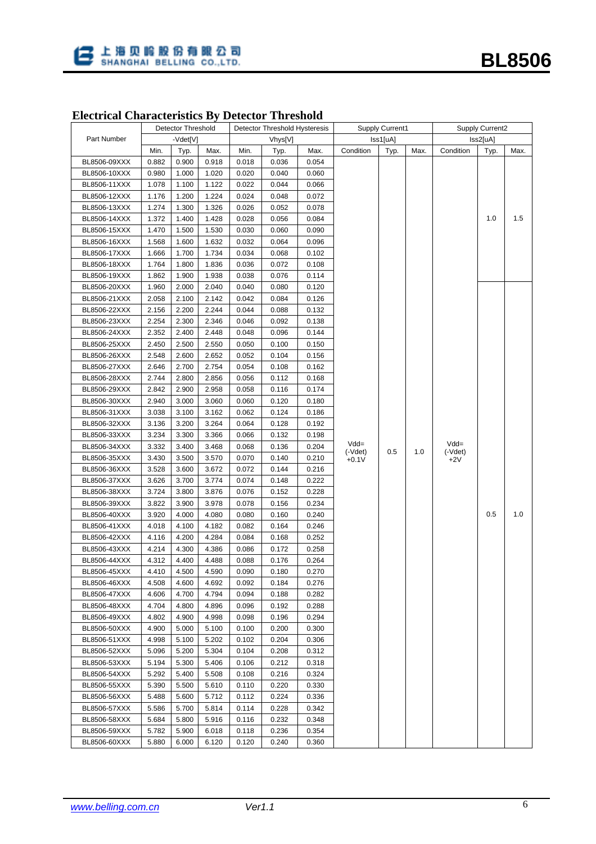

# **Electrical Characteristics By Detector Threshold**

|              |             | Detector Threshold |       | Detector Threshold Hysteresis |       |          | <b>Supply Current1</b> |      |          | <b>Supply Current2</b> |      |      |
|--------------|-------------|--------------------|-------|-------------------------------|-------|----------|------------------------|------|----------|------------------------|------|------|
| Part Number  |             | -Vdet[V]           |       | Vhys[V]                       |       | Iss1[uA] |                        |      | Iss2[uA] |                        |      |      |
|              | Min.        | Typ.               | Max.  | Min.                          | Typ.  | Max.     | Condition              | Typ. | Max.     | Condition              | Typ. | Max. |
| BL8506-09XXX | 0.882       | 0.900              | 0.918 | 0.018                         | 0.036 | 0.054    |                        |      |          |                        |      |      |
| BL8506-10XXX | 0.980       | 1.000              | 1.020 | 0.020                         | 0.040 | 0.060    |                        |      |          |                        |      |      |
| BL8506-11XXX | 1.078       | 1.100              | 1.122 | 0.022                         | 0.044 | 0.066    |                        |      |          |                        |      |      |
| BL8506-12XXX | 1.176       | 1.200              | 1.224 | 0.024                         | 0.048 | 0.072    |                        |      |          |                        |      |      |
| BL8506-13XXX | 1.274       | 1.300              | 1.326 | 0.026                         | 0.052 | 0.078    |                        |      |          |                        | 1.0  | 1.5  |
| BL8506-14XXX | 1.372       | 1.400              | 1.428 | 0.028                         | 0.056 | 0.084    |                        |      |          |                        |      |      |
| BL8506-15XXX | 1.470       | 1.500              | 1.530 | 0.030                         | 0.060 | 0.090    |                        |      |          |                        |      |      |
| BL8506-16XXX | 1.568       | 1.600              | 1.632 | 0.032                         | 0.064 | 0.096    |                        |      |          |                        |      |      |
| BL8506-17XXX | 1.666       | 1.700              | 1.734 | 0.034                         | 0.068 | 0.102    |                        |      |          |                        |      |      |
| BL8506-18XXX | 1.764       | 1.800              | 1.836 | 0.036                         | 0.072 | 0.108    |                        |      |          |                        |      |      |
| BL8506-19XXX | 1.862       | 1.900              | 1.938 | 0.038                         | 0.076 | 0.114    |                        |      |          |                        |      |      |
| BL8506-20XXX | 1.960       | 2.000              | 2.040 | 0.040                         | 0.080 | 0.120    |                        |      |          |                        |      |      |
| BL8506-21XXX | 2.058       | 2.100              | 2.142 | 0.042                         | 0.084 | 0.126    |                        |      |          |                        |      |      |
| BL8506-22XXX | 2.156       | 2.200              | 2.244 | 0.044                         | 0.088 | 0.132    |                        |      |          |                        |      |      |
| BL8506-23XXX | 2.254       | 2.300              | 2.346 | 0.046                         | 0.092 | 0.138    |                        |      |          |                        |      |      |
| BL8506-24XXX | 2.352       | 2.400              | 2.448 | 0.048                         | 0.096 | 0.144    |                        |      |          |                        |      |      |
| BL8506-25XXX | 2.450       | 2.500              | 2.550 | 0.050                         | 0.100 | 0.150    |                        |      |          |                        |      |      |
| BL8506-26XXX | 2.548       | 2.600              | 2.652 | 0.052                         | 0.104 | 0.156    |                        |      |          |                        |      |      |
| BL8506-27XXX | 2.646       | 2.700              | 2.754 | 0.054                         | 0.108 | 0.162    |                        |      |          |                        |      |      |
| BL8506-28XXX | 2.744       | 2.800              | 2.856 | 0.056                         | 0.112 | 0.168    |                        |      |          |                        |      |      |
| BL8506-29XXX | 2.842       | 2.900              | 2.958 | 0.058                         | 0.116 | 0.174    |                        |      |          |                        |      |      |
| BL8506-30XXX | 2.940       | 3.000              | 3.060 | 0.060                         | 0.120 | 0.180    |                        |      |          |                        |      |      |
| BL8506-31XXX | 3.038       | 3.100              | 3.162 | 0.062                         | 0.124 | 0.186    |                        |      |          |                        |      |      |
| BL8506-32XXX | 3.136       | 3.200              | 3.264 | 0.064                         | 0.128 | 0.192    |                        |      |          |                        |      |      |
| BL8506-33XXX | 3.234       | 3.300              | 3.366 | 0.066                         | 0.132 | 0.198    |                        |      |          |                        |      |      |
| BL8506-34XXX | 3.332       | 3.400              | 3.468 | 0.068                         | 0.136 | 0.204    | $Vdd =$                |      |          | $Vdd =$                |      |      |
| BL8506-35XXX | 3.430       | 3.500              | 3.570 | 0.070                         | 0.140 | 0.210    | $(-Vdet)$<br>$+0.1V$   | 0.5  | 1.0      | $(-Vdet)$<br>$+2V$     |      |      |
| BL8506-36XXX | 3.528       | 3.600              | 3.672 | 0.072                         | 0.144 | 0.216    |                        |      |          |                        | 0.5  | 1.0  |
| BL8506-37XXX | 3.626       | 3.700              | 3.774 | 0.074                         | 0.148 | 0.222    |                        |      |          |                        |      |      |
| BL8506-38XXX | 3.724       | 3.800              | 3.876 | 0.076                         | 0.152 | 0.228    |                        |      |          |                        |      |      |
| BL8506-39XXX | 3.822       | 3.900              | 3.978 | 0.078                         | 0.156 | 0.234    |                        |      |          |                        |      |      |
| BL8506-40XXX | 3.920       | 4.000              | 4.080 | 0.080                         | 0.160 | 0.240    |                        |      |          |                        |      |      |
| BL8506-41XXX | 4.018       | 4.100              | 4.182 | 0.082                         | 0.164 | 0.246    |                        |      |          |                        |      |      |
| BL8506-42XXX | 4.116       | 4.200              | 4.284 | 0.084                         | 0.168 | 0.252    |                        |      |          |                        |      |      |
| BL8506-43XXX | 4.214       | 4.300              | 4.386 | 0.086                         | 0.172 | 0.258    |                        |      |          |                        |      |      |
| BL8506-44XXX | 4.312       | 4.400              | 4.488 | 0.088                         | 0.176 | 0.264    |                        |      |          |                        |      |      |
| BL8506-45XXX | 4.410 4.500 |                    | 4.590 | 0.090                         | 0.180 | 0.270    |                        |      |          |                        |      |      |
| BL8506-46XXX | 4.508       | 4.600              | 4.692 | 0.092                         | 0.184 | 0.276    |                        |      |          |                        |      |      |
| BL8506-47XXX | 4.606       | 4.700              | 4.794 | 0.094                         | 0.188 | 0.282    |                        |      |          |                        |      |      |
| BL8506-48XXX | 4.704       | 4.800              | 4.896 | 0.096                         | 0.192 | 0.288    |                        |      |          |                        |      |      |
| BL8506-49XXX | 4.802       | 4.900              | 4.998 | 0.098                         | 0.196 | 0.294    |                        |      |          |                        |      |      |
| BL8506-50XXX | 4.900       | 5.000              | 5.100 | 0.100                         | 0.200 | 0.300    |                        |      |          |                        |      |      |
| BL8506-51XXX | 4.998       | 5.100              | 5.202 | 0.102                         | 0.204 | 0.306    |                        |      |          |                        |      |      |
| BL8506-52XXX | 5.096       | 5.200              | 5.304 | 0.104                         | 0.208 | 0.312    |                        |      |          |                        |      |      |
| BL8506-53XXX | 5.194       | 5.300              | 5.406 | 0.106                         | 0.212 | 0.318    |                        |      |          |                        |      |      |
| BL8506-54XXX | 5.292       | 5.400              | 5.508 | 0.108                         | 0.216 | 0.324    |                        |      |          |                        |      |      |
| BL8506-55XXX | 5.390       | 5.500              | 5.610 | 0.110                         | 0.220 | 0.330    |                        |      |          |                        |      |      |
| BL8506-56XXX | 5.488       | 5.600              | 5.712 | 0.112                         | 0.224 | 0.336    |                        |      |          |                        |      |      |
| BL8506-57XXX | 5.586       | 5.700              | 5.814 | 0.114                         | 0.228 | 0.342    |                        |      |          |                        |      |      |
| BL8506-58XXX | 5.684       | 5.800              | 5.916 | 0.116                         | 0.232 | 0.348    |                        |      |          |                        |      |      |
| BL8506-59XXX | 5.782       | 5.900              | 6.018 | 0.118                         | 0.236 | 0.354    |                        |      |          |                        |      |      |
| BL8506-60XXX | 5.880       | 6.000              | 6.120 | 0.120                         | 0.240 | 0.360    |                        |      |          |                        |      |      |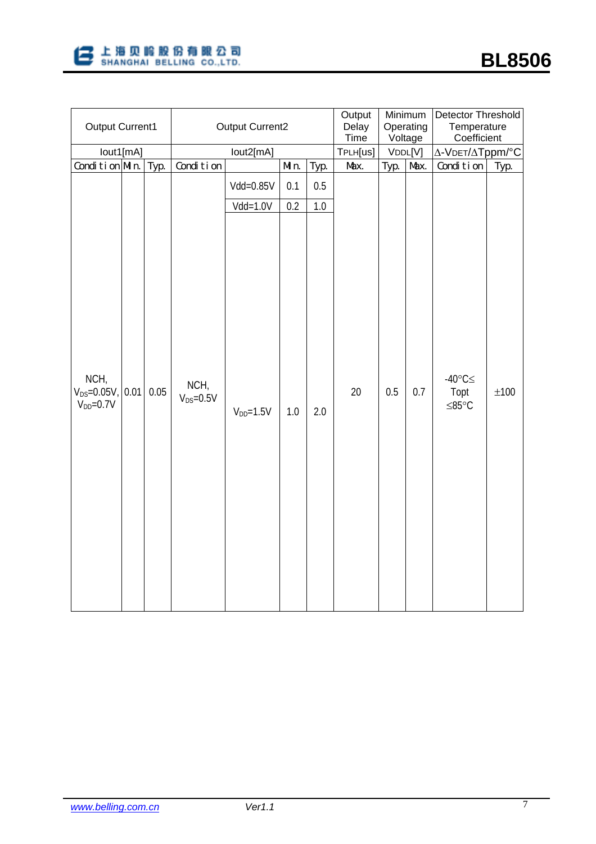

| Output Current1                               |      |           | <b>Output Current2</b> | Output<br>Delay<br>Time | Minimum<br>Operating<br>Voltage |                 | Detector Threshold<br>Temperature<br>Coefficient |      |      |                                           |           |
|-----------------------------------------------|------|-----------|------------------------|-------------------------|---------------------------------|-----------------|--------------------------------------------------|------|------|-------------------------------------------|-----------|
| lout1[mA]                                     |      |           | TPLH[us]               | VDDL[V]                 |                                 | Δ-VDET/ΔTppm/°C |                                                  |      |      |                                           |           |
| Condition Min.                                |      | Typ.      | Condition              |                         | Min.                            | Typ.            | Max.                                             | Typ. | Max. | Condition                                 | Typ.      |
|                                               |      | Vdd=0.85V | 0.1                    | 0.5                     |                                 |                 |                                                  |      |      |                                           |           |
|                                               |      |           |                        | $Vdd = 1.0V$            | 0.2                             | 1.0             |                                                  |      |      |                                           |           |
| NCH,<br>$V_{DS} = 0.05V$ ,<br>$V_{DD} = 0.7V$ | 0.01 | 0.05      | NCH,<br>$V_{DS}=0.5V$  | $V_{DD} = 1.5V$         | 1.0                             | 2.0             | 20                                               | 0.5  | 0.7  | $-40^{\circ}$ C $\leq$<br>Topt<br>$≤85°C$ | $\pm 100$ |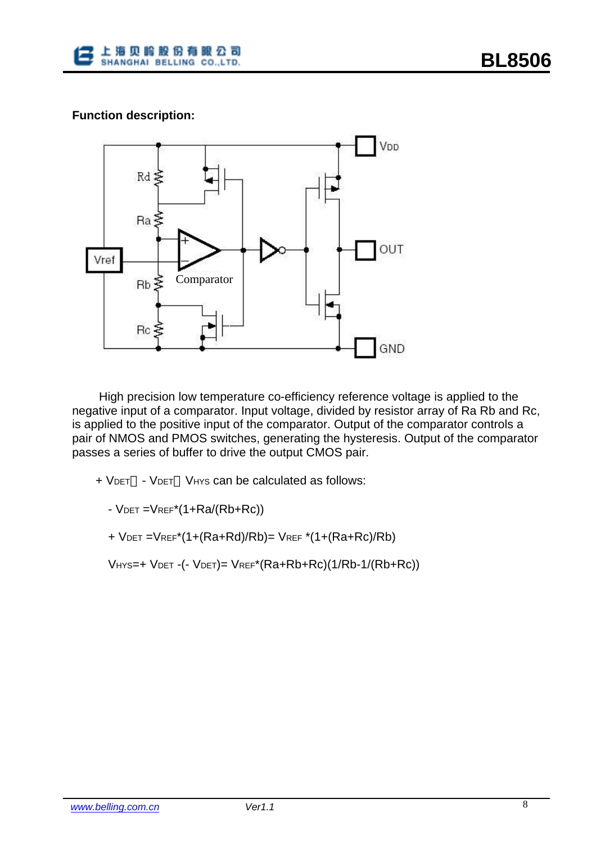

# **Function description:**



 High precision low temperature co-efficiency reference voltage is applied to the negative input of a comparator. Input voltage, divided by resistor array of Ra Rb and Rc, is applied to the positive input of the comparator. Output of the comparator controls a pair of NMOS and PMOS switches, generating the hysteresis. Output of the comparator passes a series of buffer to drive the output CMOS pair.

+ VDET - VDET VHYS can be calculated as follows:

 $-V$ DET = $V$ REF<sup>\*</sup> $(1+Ra/(Rb+Rc))$ 

+ VDET =VREF\*(1+(Ra+Rd)/Rb)= VREF \*(1+(Ra+Rc)/Rb)

VHYS=+ VDET -(- VDET)= VREF\*(Ra+Rb+Rc)(1/Rb-1/(Rb+Rc))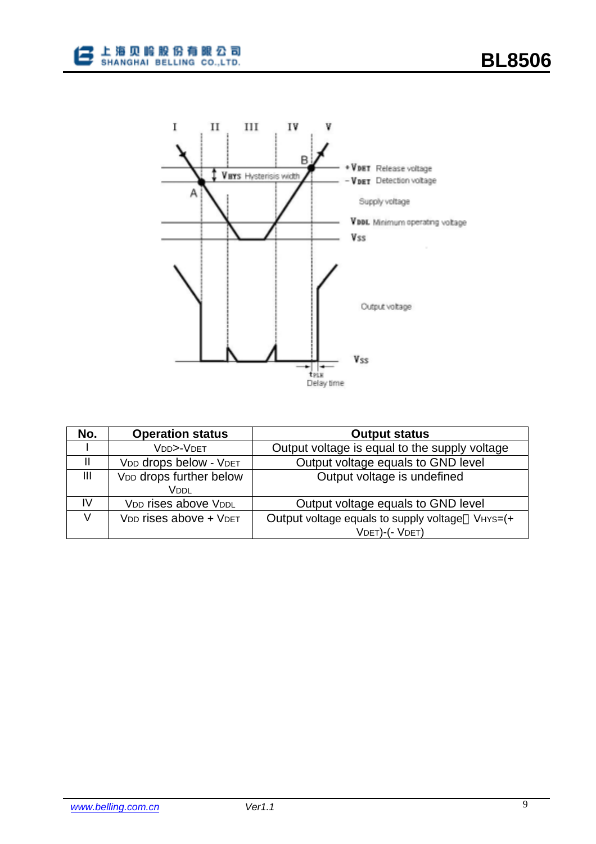



| No. | <b>Operation status</b>                        | <b>Output status</b>                            |  |  |  |  |  |  |
|-----|------------------------------------------------|-------------------------------------------------|--|--|--|--|--|--|
|     | VDD>-VDET                                      | Output voltage is equal to the supply voltage   |  |  |  |  |  |  |
|     | VDD drops below - VDET                         | Output voltage equals to GND level              |  |  |  |  |  |  |
| Ш   | V <sub>DD</sub> drops further below<br>Vddl    | Output voltage is undefined                     |  |  |  |  |  |  |
| IV  | VDD rises above VDDL                           | Output voltage equals to GND level              |  |  |  |  |  |  |
| V   | V <sub>DD</sub> rises above + V <sub>DET</sub> | Output voltage equals to supply voltage VHYS=(+ |  |  |  |  |  |  |
|     |                                                | VDET)-(- VDET)                                  |  |  |  |  |  |  |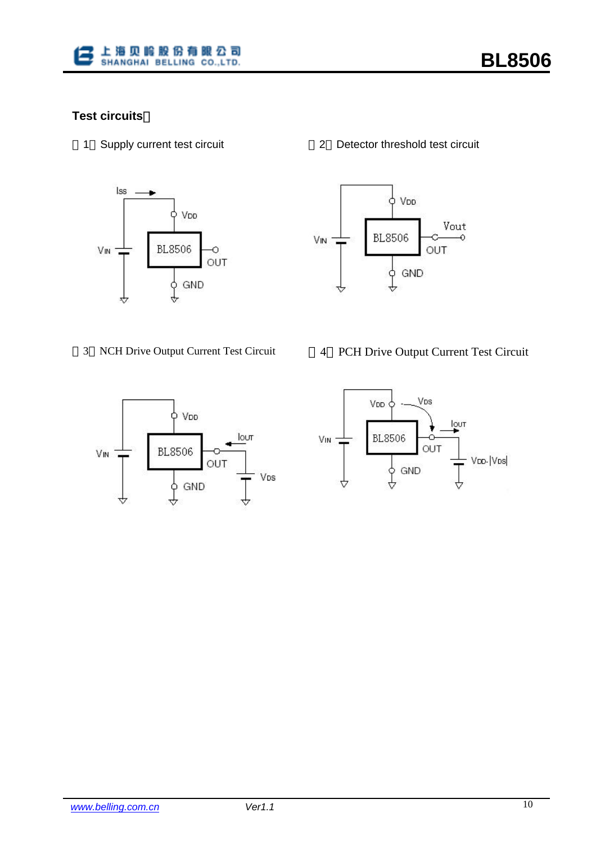

# **Test circuits**:



1 Supply current test circuit 2 Detector threshold test circuit







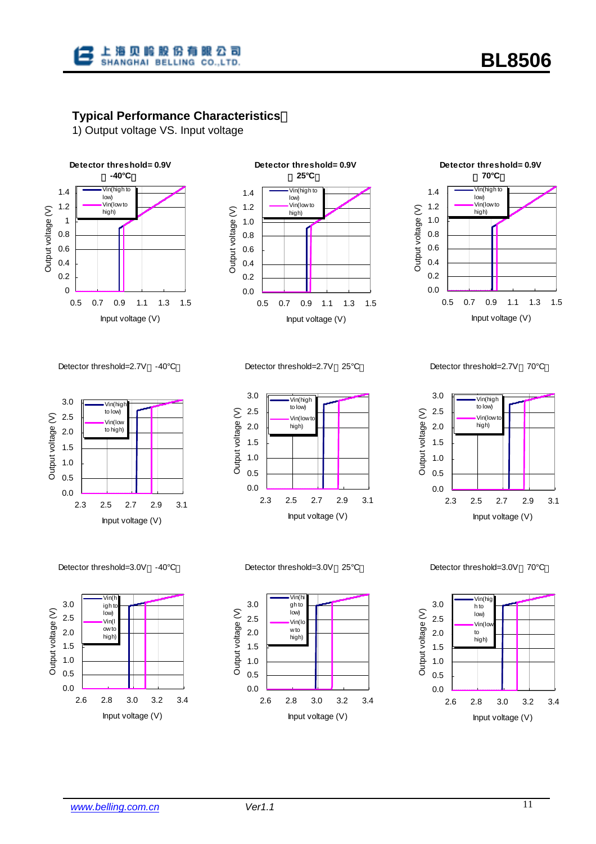

# **Typical Performance Characteristics**:

1) Output voltage VS. Input voltage







Detector threshold=2.7V -40°C

3.0 Vin(high to low) Output voltage (V) 2.5 Output voltage (V) Vin(low to high) 2.0 1.5 1.0 0.5 0.0 2.3 2.5 2.7 2.9 3.1 Input voltage (V)

3.0 Vin(high to low) 2.5 Output voltage (V) Output voltage (V) Vin(low 2.0 high) 1.5 1.0 0.5 0.0 2.3 2.5 2.7 2.9 3.1

Input voltage (V)

Detector threshold=2.7V 25°C

Detector threshold=2.7V 70°C



Detector threshold=3.0V -40°C



Detector threshold=3.0V 25°C



Detector threshold=3.0V 70°C

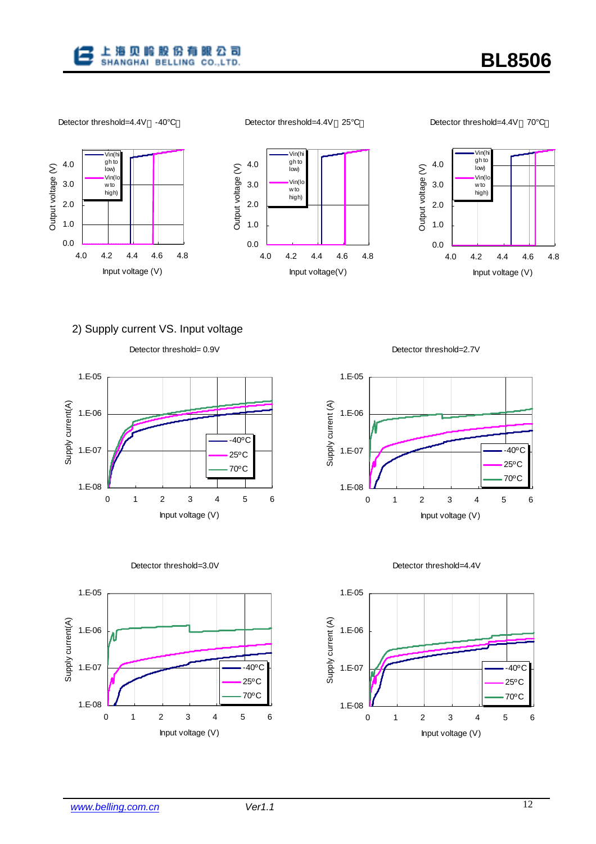

Detector threshold=4.4V 25°C

Detector threshold=4.4V 70°C



### 2) Supply current VS. Input voltage









Detector threshold=2.7V



Detector threshold=4.4V

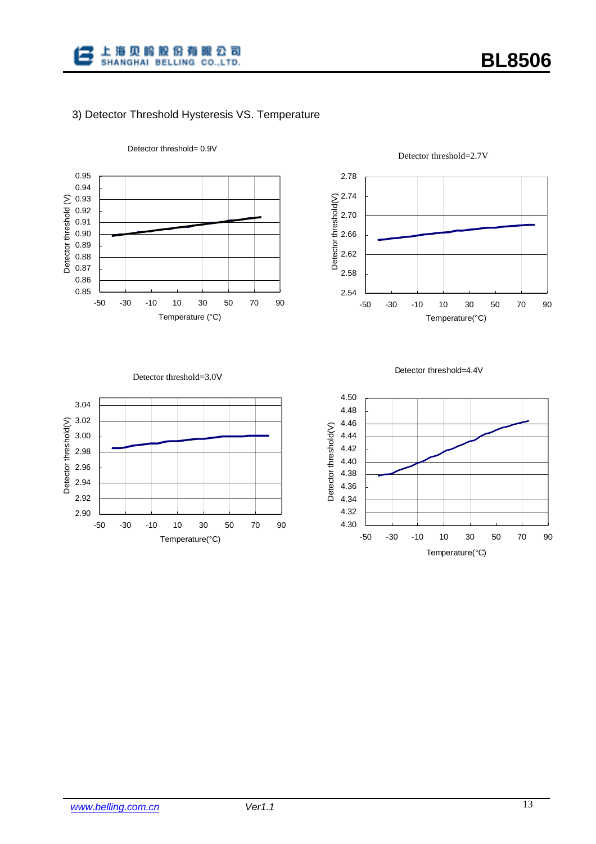

#### 3) Detector Threshold Hysteresis VS. Temperature



#### Detector threshold= 0.9V



#### Detector threshold=2.7V

Detector threshold=3.0V





4.50 4.48 4.46 Detector threshold(V) Detector threshold(V) 4.44 4.42 4.40 4.38 4.36 4.34 4.32 4.30 -50 -30 -10 10 30 50 70 90 Temperature(°C)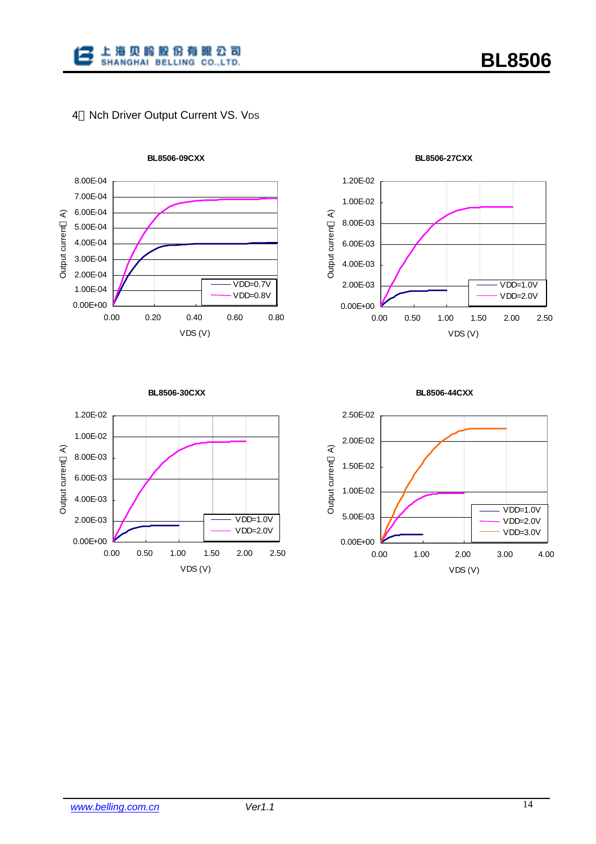

# 4 Nch Driver Output Current VS. VDS



**BL8506-09CXX**



**BL8506-27CXX**



**BL8506-30CXX**

**BL8506-44CXX**

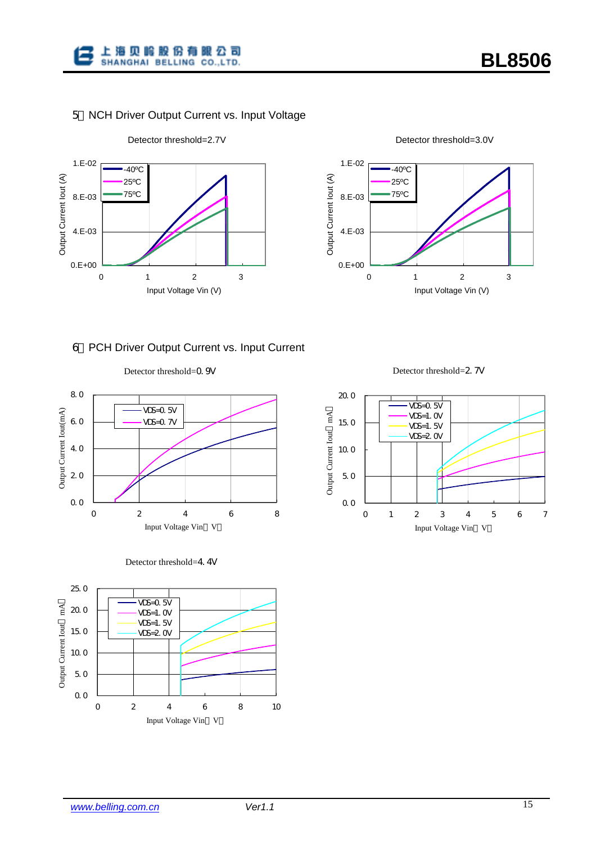

# 5 NCH Driver Output Current vs. Input Voltage





#### 6 PCH Driver Output Current vs. Input Current







Detector threshold=2.7V